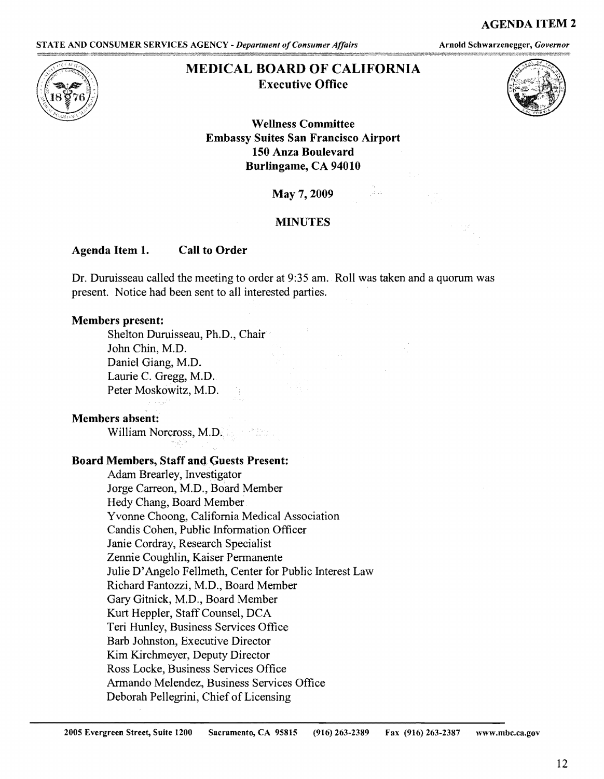### AGENDA ITEM 2

STATE AND CONSUMER SERVICES AGENCY - *Department of Consumer Affairs* **Arnold Schwarzenegger**, *Governor* 



# **MEDICAL BOARD OF CALIFORNIA Executive Office**



## **Wellness Committee Embassy Suites San Francisco Airport 150 Anza Boulevard Burlingame, CA 94010**

**May** 7, 2009

### **:MINUTES**

### **Agenda Item 1. Call to Order**

Dr. Duruisseau called the meeting to order at 9:35 am. Roll was taken and a quorum was present. Notice had been sent to all interested parties.

### **Members present:**

Shelton Duruisseau, Ph.D., Chair John Chin, M.D. Daniel Giang, M.D. Laurie C. Gregg, M.D. Peter Moskowitz, M.D.

### **Members absent:**

William Norcross, M.D.

### **Board Members, Staff and Guests Present:**

Adam Brearley, Investigator Jorge Carreon, M.D., Board Member Hedy Chang, Board Member Yvonne Choong, California Medical Association Candis Cohen, Public Information Officer Janie Cordray, Research Specialist Zennie Coughlin, Kaiser Permanente Julie D'Angelo Fellmeth, Center for Public Interest Law Richard Fantozzi, M.D., Board Member Gary Gitnick, M.D., Board Member Kurt Heppler, Staff Counsel, DCA Teri Hunley, Business Services Office Barb Johnston, Executive Director Kim Kirchmeyer, Deputy Director Ross Locke, Business Services Office Armando Melendez, Business Services Office Deborah Pellegrini, Chief of Licensing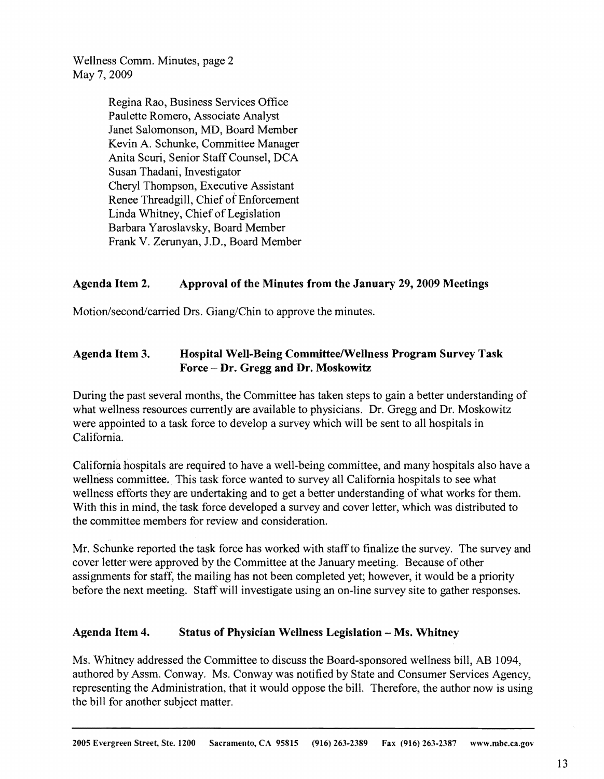Wellness Comm. Minutes, page 2 May 7, 2009

> Regina Rao, Business Services Office Paulette Romero, Associate Analyst Janet Salomonson, MD, Board Member Kevin A. Schunke, Committee Manager Anita Scuri, Senior Staff Counsel, DCA Susan Thadani, Investigator Cheryl Thompson, Executive Assistant Renee Threadgill, Chief of Enforcement Linda Whitney, Chief of Legislation Barbara Yaroslavsky, Board Member Frank V. Zerunyan, J.D., Board Member

## **Agenda Item 2. Approval of the Minutes from the January 29, 2009 Meetings**

Motion/second/carried Drs. Giang/Chin to approve the minutes.

## **Agenda Item 3. Hospital Well-Being Committee/Wellness Program Survey Task Force** - **Dr. Gregg and Dr. Moskowitz**

During the past several months, the Committee has taken steps to gain a better understanding of what wellness resources currently are available to physicians. Dr. Gregg and Dr. Moskowitz were appointed to a task force to develop a survey which will be sent to all hospitals in California.

California hospitals are required to have a well-being committee, and many hospitals also have a wellness committee. This task force wanted to survey all California hospitals to see what wellness efforts they are undertaking and to get a better understanding of what works for them. With this in mind, the task force developed a survey and cover letter, which was distributed to the committee members for review and consideration.

Mr. Schunke reported the task force has worked with staff to finalize the survey. The survey and cover letter were approved by the Committee at the January meeting. Because of other assignments for staff, the mailing has not been completed yet; however, it would be a priority before the next meeting. Staff will investigate using an on-line survey site to gather responses.

## **Agenda Item 4. Status of Physician Wellness Legislation** - **Ms. Whitney**

Ms. Whitney addressed the Committee to discuss the Board-sponsored wellness bill, AB 1094, authored by Assm. Conway. Ms. Conway was notified by State and Consumer Services Agency, representing the Administration, that it would oppose the bill. Therefore, the author now is using the bill for another subject matter.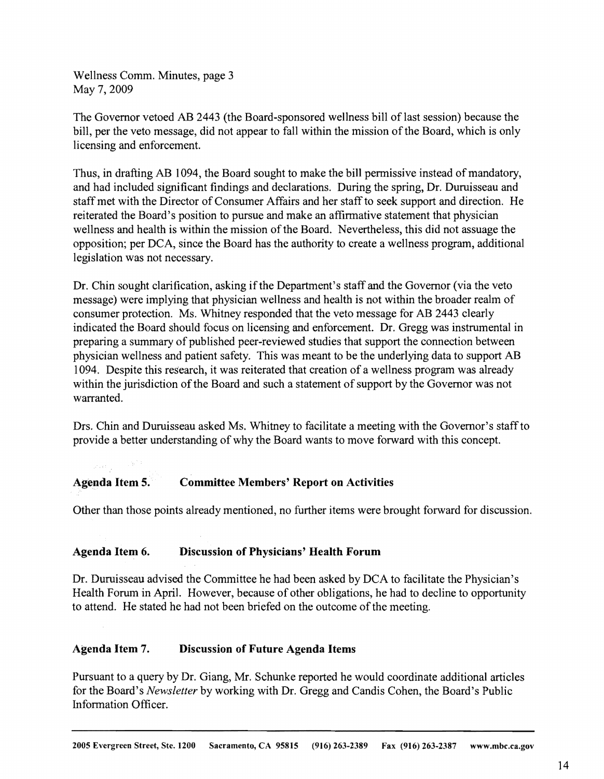Wellness Comm. Minutes, page 3 May 7, 2009

The Governor vetoed AB 2443 (the Board-sponsored wellness bill of last session) because the bill, per the veto message, did not appear to fall within the mission of the Board, which is only licensing and enforcement.

Thus, in drafting AB 1094, the Board sought to make the bill permissive instead of mandatory, and had included significant findings and declarations. During the spring, Dr. Duruisseau and staff met with the Director of Consumer Affairs and her staff to seek support and direction. He reiterated the Board's position to pursue and make an affirmative statement that physician wellness and health is within the mission of the Board. Nevertheless, this did not assuage the opposition; per DCA, since the Board has the authority to create a wellness program, additional legislation was not necessary.

Dr. Chin sought clarification, asking if the Department's staff and the Governor (via the veto message) were implying that physician wellness and health is not within the broader realm of consumer protection. Ms. Whitney responded that the veto message for AB 2443 clearly indicated the Board should focus on licensing and enforcement. Dr. Gregg was instrumental in preparing a summary of published peer-reviewed studies that support the connection between physician wellness and patient safety. This was meant to be the underlying data to support AB 1094. Despite this research, it was reiterated that creation of a wellness program was already within the jurisdiction of the Board and such a statement of support by the Governor was not warranted.

Drs. Chin and Duruisseau asked Ms. Whitney to facilitate a meeting with the Governor's staff to provide a better understanding of why the Board wants to move forward with this concept.

# **Ageuda Item 5. Committee Members' Report on Activities**

Other than those points already mentioned, no further items were brought forward for discussion.

## **Agenda Item 6. Discussion of Physicians' Health Forum**

Dr. Duruisseau advised the Committee he had been asked by DCA to facilitate the Physician's Health Forum in April. However, because of other obligations, he had to decline to opportunity to attend. He stated he had not been briefed on the outcome of the meeting.

### **Agenda Item 7. Discussion of Future Agenda Items**

Pursuant to a query by Dr. Giang, Mr. Schunke reported he would coordinate additional articles for the Board's *Newsletter* by working with Dr. Gregg and Candis Cohen, the Board's Public Information Officer.